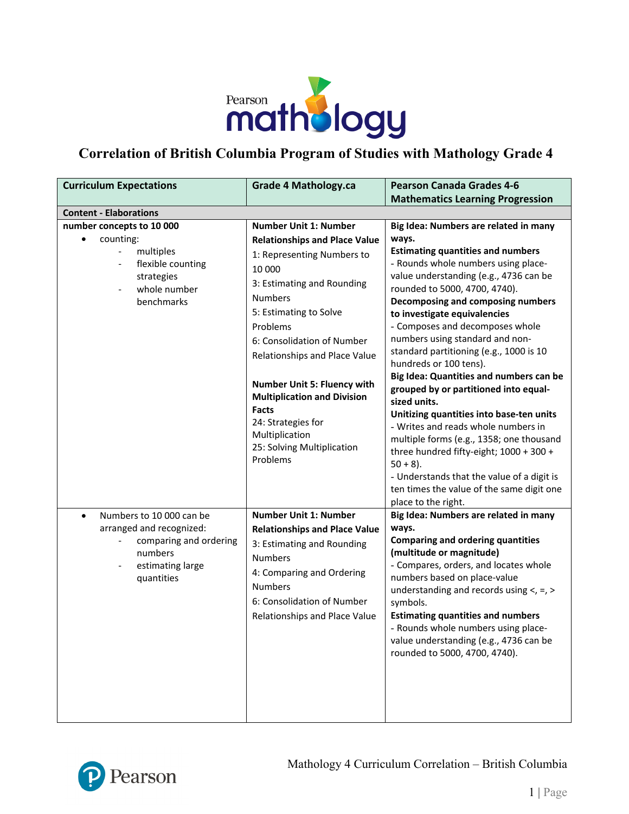

## **Correlation of British Columbia Program of Studies with Mathology Grade 4**

| <b>Curriculum Expectations</b>                                                                                                                                                            | <b>Grade 4 Mathology.ca</b>                                                                                                                                                                                                                                                                                                                                                                                                                                                     | <b>Pearson Canada Grades 4-6</b>                                                                                                                                                                                                                                                                                                                                                                                                                                                                                                                                                                                                                                                                                                                                                                                                                                                     |
|-------------------------------------------------------------------------------------------------------------------------------------------------------------------------------------------|---------------------------------------------------------------------------------------------------------------------------------------------------------------------------------------------------------------------------------------------------------------------------------------------------------------------------------------------------------------------------------------------------------------------------------------------------------------------------------|--------------------------------------------------------------------------------------------------------------------------------------------------------------------------------------------------------------------------------------------------------------------------------------------------------------------------------------------------------------------------------------------------------------------------------------------------------------------------------------------------------------------------------------------------------------------------------------------------------------------------------------------------------------------------------------------------------------------------------------------------------------------------------------------------------------------------------------------------------------------------------------|
|                                                                                                                                                                                           |                                                                                                                                                                                                                                                                                                                                                                                                                                                                                 | <b>Mathematics Learning Progression</b>                                                                                                                                                                                                                                                                                                                                                                                                                                                                                                                                                                                                                                                                                                                                                                                                                                              |
| <b>Content - Elaborations</b>                                                                                                                                                             |                                                                                                                                                                                                                                                                                                                                                                                                                                                                                 |                                                                                                                                                                                                                                                                                                                                                                                                                                                                                                                                                                                                                                                                                                                                                                                                                                                                                      |
| number concepts to 10 000<br>counting:<br>multiples<br>flexible counting<br>$\overline{\phantom{a}}$<br>strategies<br>whole number<br>benchmarks<br>Numbers to 10 000 can be<br>$\bullet$ | <b>Number Unit 1: Number</b><br><b>Relationships and Place Value</b><br>1: Representing Numbers to<br>10 000<br>3: Estimating and Rounding<br><b>Numbers</b><br>5: Estimating to Solve<br>Problems<br>6: Consolidation of Number<br>Relationships and Place Value<br><b>Number Unit 5: Fluency with</b><br><b>Multiplication and Division</b><br><b>Facts</b><br>24: Strategies for<br>Multiplication<br>25: Solving Multiplication<br>Problems<br><b>Number Unit 1: Number</b> | Big Idea: Numbers are related in many<br>ways.<br><b>Estimating quantities and numbers</b><br>- Rounds whole numbers using place-<br>value understanding (e.g., 4736 can be<br>rounded to 5000, 4700, 4740).<br>Decomposing and composing numbers<br>to investigate equivalencies<br>- Composes and decomposes whole<br>numbers using standard and non-<br>standard partitioning (e.g., 1000 is 10<br>hundreds or 100 tens).<br>Big Idea: Quantities and numbers can be<br>grouped by or partitioned into equal-<br>sized units.<br>Unitizing quantities into base-ten units<br>- Writes and reads whole numbers in<br>multiple forms (e.g., 1358; one thousand<br>three hundred fifty-eight; 1000 + 300 +<br>$50 + 8$ ).<br>- Understands that the value of a digit is<br>ten times the value of the same digit one<br>place to the right.<br>Big Idea: Numbers are related in many |
| arranged and recognized:<br>comparing and ordering<br>$\overline{\phantom{a}}$<br>numbers<br>estimating large<br>$\overline{\phantom{a}}$<br>quantities                                   | <b>Relationships and Place Value</b><br>3: Estimating and Rounding<br><b>Numbers</b><br>4: Comparing and Ordering<br><b>Numbers</b><br>6: Consolidation of Number<br>Relationships and Place Value                                                                                                                                                                                                                                                                              | ways.<br><b>Comparing and ordering quantities</b><br>(multitude or magnitude)<br>- Compares, orders, and locates whole<br>numbers based on place-value<br>understanding and records using $\lt$ , =, ><br>symbols.<br><b>Estimating quantities and numbers</b><br>- Rounds whole numbers using place-<br>value understanding (e.g., 4736 can be<br>rounded to 5000, 4700, 4740).                                                                                                                                                                                                                                                                                                                                                                                                                                                                                                     |

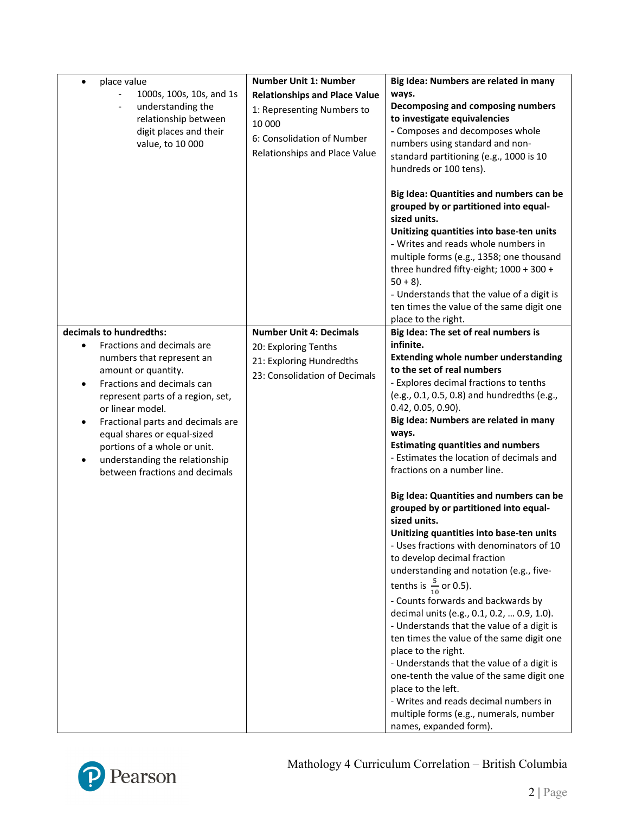| place value<br>$\bullet$                                                                                                                                                                                                                                                                                                                      | <b>Number Unit 1: Number</b>                                                                                                                | Big Idea: Numbers are related in many                                                                                                                                                                                                                                                                                                                                                                                                                                                                                                                                                                                                                                                                                                                                                                                                                                                                                                                                                                               |
|-----------------------------------------------------------------------------------------------------------------------------------------------------------------------------------------------------------------------------------------------------------------------------------------------------------------------------------------------|---------------------------------------------------------------------------------------------------------------------------------------------|---------------------------------------------------------------------------------------------------------------------------------------------------------------------------------------------------------------------------------------------------------------------------------------------------------------------------------------------------------------------------------------------------------------------------------------------------------------------------------------------------------------------------------------------------------------------------------------------------------------------------------------------------------------------------------------------------------------------------------------------------------------------------------------------------------------------------------------------------------------------------------------------------------------------------------------------------------------------------------------------------------------------|
| 1000s, 100s, 10s, and 1s<br>understanding the<br>relationship between<br>digit places and their<br>value, to 10 000                                                                                                                                                                                                                           | <b>Relationships and Place Value</b><br>1: Representing Numbers to<br>10 000<br>6: Consolidation of Number<br>Relationships and Place Value | ways.<br>Decomposing and composing numbers<br>to investigate equivalencies<br>- Composes and decomposes whole<br>numbers using standard and non-<br>standard partitioning (e.g., 1000 is 10<br>hundreds or 100 tens).<br>Big Idea: Quantities and numbers can be<br>grouped by or partitioned into equal-<br>sized units.<br>Unitizing quantities into base-ten units                                                                                                                                                                                                                                                                                                                                                                                                                                                                                                                                                                                                                                               |
|                                                                                                                                                                                                                                                                                                                                               |                                                                                                                                             | - Writes and reads whole numbers in<br>multiple forms (e.g., 1358; one thousand<br>three hundred fifty-eight; 1000 + 300 +<br>$50 + 8$ ).<br>- Understands that the value of a digit is<br>ten times the value of the same digit one<br>place to the right.                                                                                                                                                                                                                                                                                                                                                                                                                                                                                                                                                                                                                                                                                                                                                         |
| decimals to hundredths:                                                                                                                                                                                                                                                                                                                       | <b>Number Unit 4: Decimals</b>                                                                                                              | Big Idea: The set of real numbers is                                                                                                                                                                                                                                                                                                                                                                                                                                                                                                                                                                                                                                                                                                                                                                                                                                                                                                                                                                                |
| Fractions and decimals are<br>numbers that represent an<br>amount or quantity.<br>Fractions and decimals can<br>represent parts of a region, set,<br>or linear model.<br>Fractional parts and decimals are<br>equal shares or equal-sized<br>portions of a whole or unit.<br>understanding the relationship<br>between fractions and decimals | 20: Exploring Tenths<br>21: Exploring Hundredths<br>23: Consolidation of Decimals                                                           | infinite.<br><b>Extending whole number understanding</b><br>to the set of real numbers<br>- Explores decimal fractions to tenths<br>(e.g., 0.1, 0.5, 0.8) and hundredths (e.g.,<br>$0.42, 0.05, 0.90$ ).<br>Big Idea: Numbers are related in many<br>ways.<br><b>Estimating quantities and numbers</b><br>- Estimates the location of decimals and<br>fractions on a number line.<br>Big Idea: Quantities and numbers can be<br>grouped by or partitioned into equal-<br>sized units.<br>Unitizing quantities into base-ten units<br>- Uses fractions with denominators of 10<br>to develop decimal fraction<br>understanding and notation (e.g., five-<br>tenths is $\frac{5}{10}$ or 0.5).<br>- Counts forwards and backwards by<br>decimal units (e.g., 0.1, 0.2,  0.9, 1.0).<br>- Understands that the value of a digit is<br>ten times the value of the same digit one<br>place to the right.<br>- Understands that the value of a digit is<br>one-tenth the value of the same digit one<br>place to the left. |
|                                                                                                                                                                                                                                                                                                                                               |                                                                                                                                             | - Writes and reads decimal numbers in<br>multiple forms (e.g., numerals, number<br>names, expanded form).                                                                                                                                                                                                                                                                                                                                                                                                                                                                                                                                                                                                                                                                                                                                                                                                                                                                                                           |

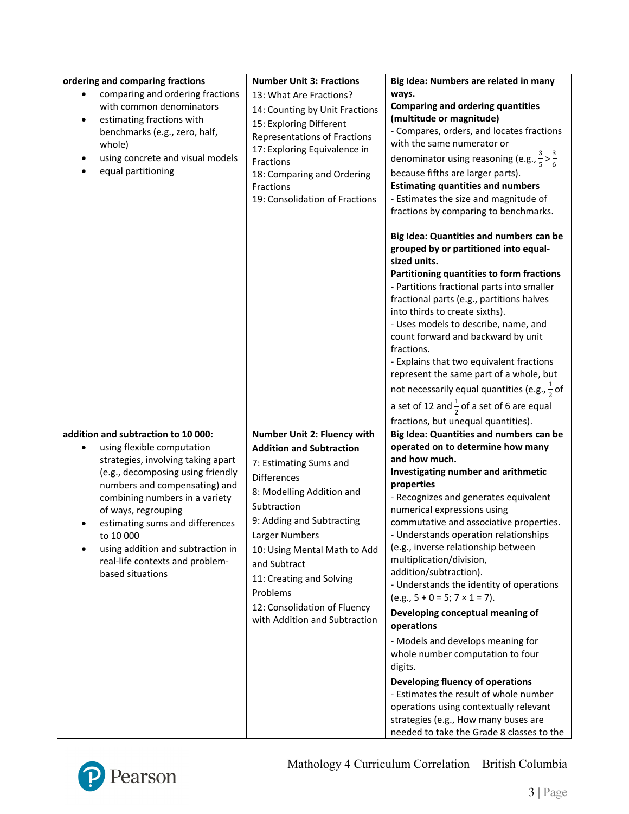| ordering and comparing fractions                                                                                                                                                                                                                                                                                                                                                   | <b>Number Unit 3: Fractions</b>                                                                                                                                                                                                                                                                                                                                    | Big Idea: Numbers are related in many                                                                                                                                                                                                                                                                                                                                                                                                                                                                                                                                                                                                                                     |
|------------------------------------------------------------------------------------------------------------------------------------------------------------------------------------------------------------------------------------------------------------------------------------------------------------------------------------------------------------------------------------|--------------------------------------------------------------------------------------------------------------------------------------------------------------------------------------------------------------------------------------------------------------------------------------------------------------------------------------------------------------------|---------------------------------------------------------------------------------------------------------------------------------------------------------------------------------------------------------------------------------------------------------------------------------------------------------------------------------------------------------------------------------------------------------------------------------------------------------------------------------------------------------------------------------------------------------------------------------------------------------------------------------------------------------------------------|
| comparing and ordering fractions<br>with common denominators<br>estimating fractions with<br>$\bullet$<br>benchmarks (e.g., zero, half,<br>whole)<br>using concrete and visual models<br>equal partitioning                                                                                                                                                                        | 13: What Are Fractions?<br>14: Counting by Unit Fractions<br>15: Exploring Different<br><b>Representations of Fractions</b><br>17: Exploring Equivalence in<br>Fractions<br>18: Comparing and Ordering<br>Fractions<br>19: Consolidation of Fractions                                                                                                              | ways.<br><b>Comparing and ordering quantities</b><br>(multitude or magnitude)<br>- Compares, orders, and locates fractions<br>with the same numerator or<br>denominator using reasoning (e.g., $\frac{3}{5} > \frac{3}{6}$<br>because fifths are larger parts).<br><b>Estimating quantities and numbers</b><br>- Estimates the size and magnitude of<br>fractions by comparing to benchmarks.                                                                                                                                                                                                                                                                             |
|                                                                                                                                                                                                                                                                                                                                                                                    |                                                                                                                                                                                                                                                                                                                                                                    | Big Idea: Quantities and numbers can be<br>grouped by or partitioned into equal-<br>sized units.<br>Partitioning quantities to form fractions<br>- Partitions fractional parts into smaller<br>fractional parts (e.g., partitions halves<br>into thirds to create sixths).<br>- Uses models to describe, name, and<br>count forward and backward by unit<br>fractions.<br>- Explains that two equivalent fractions<br>represent the same part of a whole, but<br>not necessarily equal quantities (e.g., $\frac{1}{2}$ of<br>a set of 12 and $\frac{1}{2}$ of a set of 6 are equal<br>fractions, but unequal quantities).                                                 |
| addition and subtraction to 10 000:<br>using flexible computation<br>strategies, involving taking apart<br>(e.g., decomposing using friendly<br>numbers and compensating) and<br>combining numbers in a variety<br>of ways, regrouping<br>estimating sums and differences<br>to 10 000<br>using addition and subtraction in<br>real-life contexts and problem-<br>based situations | Number Unit 2: Fluency with<br><b>Addition and Subtraction</b><br>7: Estimating Sums and<br><b>Differences</b><br>8: Modelling Addition and<br>Subtraction<br>9: Adding and Subtracting<br>Larger Numbers<br>10: Using Mental Math to Add<br>and Subtract<br>11: Creating and Solving<br>Problems<br>12: Consolidation of Fluency<br>with Addition and Subtraction | Big Idea: Quantities and numbers can be<br>operated on to determine how many<br>and how much.<br>Investigating number and arithmetic<br>properties<br>- Recognizes and generates equivalent<br>numerical expressions using<br>commutative and associative properties.<br>- Understands operation relationships<br>(e.g., inverse relationship between<br>multiplication/division,<br>addition/subtraction).<br>- Understands the identity of operations<br>$(e.g., 5 + 0 = 5; 7 \times 1 = 7).$<br>Developing conceptual meaning of<br>operations<br>- Models and develops meaning for<br>whole number computation to four<br>digits.<br>Developing fluency of operations |
|                                                                                                                                                                                                                                                                                                                                                                                    |                                                                                                                                                                                                                                                                                                                                                                    | - Estimates the result of whole number<br>operations using contextually relevant<br>strategies (e.g., How many buses are<br>needed to take the Grade 8 classes to the                                                                                                                                                                                                                                                                                                                                                                                                                                                                                                     |



## Mathology 4 Curriculum Correlation – British Columbia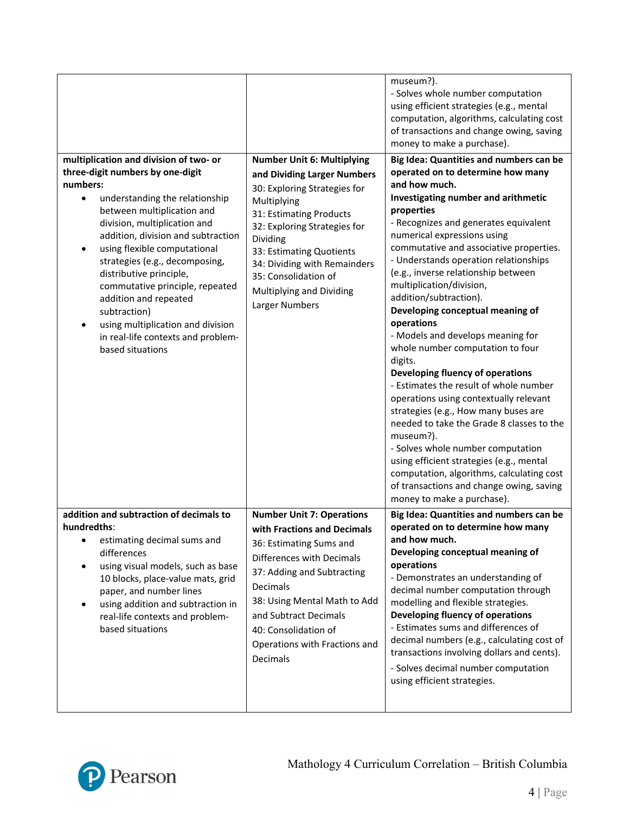|                                                                                                                                                                                                                                                                                                                                                                                                                                                                                                      |                                                                                                                                                                                                                                                                                                                          | museum?).<br>- Solves whole number computation<br>using efficient strategies (e.g., mental<br>computation, algorithms, calculating cost<br>of transactions and change owing, saving<br>money to make a purchase).                                                                                                                                                                                                                                                                                                                                                                                                                                                                                                                                                                                                                                                                                                                                     |
|------------------------------------------------------------------------------------------------------------------------------------------------------------------------------------------------------------------------------------------------------------------------------------------------------------------------------------------------------------------------------------------------------------------------------------------------------------------------------------------------------|--------------------------------------------------------------------------------------------------------------------------------------------------------------------------------------------------------------------------------------------------------------------------------------------------------------------------|-------------------------------------------------------------------------------------------------------------------------------------------------------------------------------------------------------------------------------------------------------------------------------------------------------------------------------------------------------------------------------------------------------------------------------------------------------------------------------------------------------------------------------------------------------------------------------------------------------------------------------------------------------------------------------------------------------------------------------------------------------------------------------------------------------------------------------------------------------------------------------------------------------------------------------------------------------|
| multiplication and division of two- or<br>three-digit numbers by one-digit<br>numbers:<br>understanding the relationship<br>between multiplication and<br>division, multiplication and<br>addition, division and subtraction<br>using flexible computational<br>strategies (e.g., decomposing,<br>distributive principle,<br>commutative principle, repeated<br>addition and repeated<br>subtraction)<br>using multiplication and division<br>in real-life contexts and problem-<br>based situations | <b>Number Unit 6: Multiplying</b><br>and Dividing Larger Numbers<br>30: Exploring Strategies for<br>Multiplying<br>31: Estimating Products<br>32: Exploring Strategies for<br>Dividing<br>33: Estimating Quotients<br>34: Dividing with Remainders<br>35: Consolidation of<br>Multiplying and Dividing<br>Larger Numbers | Big Idea: Quantities and numbers can be<br>operated on to determine how many<br>and how much.<br>Investigating number and arithmetic<br>properties<br>- Recognizes and generates equivalent<br>numerical expressions using<br>commutative and associative properties.<br>- Understands operation relationships<br>(e.g., inverse relationship between<br>multiplication/division,<br>addition/subtraction).<br>Developing conceptual meaning of<br>operations<br>- Models and develops meaning for<br>whole number computation to four<br>digits.<br>Developing fluency of operations<br>- Estimates the result of whole number<br>operations using contextually relevant<br>strategies (e.g., How many buses are<br>needed to take the Grade 8 classes to the<br>museum?).<br>- Solves whole number computation<br>using efficient strategies (e.g., mental<br>computation, algorithms, calculating cost<br>of transactions and change owing, saving |
| addition and subtraction of decimals to<br>hundredths:<br>estimating decimal sums and<br>differences<br>using visual models, such as base<br>10 blocks, place-value mats, grid<br>paper, and number lines<br>using addition and subtraction in<br>real-life contexts and problem-<br>based situations                                                                                                                                                                                                | <b>Number Unit 7: Operations</b><br>with Fractions and Decimals<br>36: Estimating Sums and<br>Differences with Decimals<br>37: Adding and Subtracting<br>Decimals<br>38: Using Mental Math to Add<br>and Subtract Decimals<br>40: Consolidation of<br>Operations with Fractions and<br>Decimals                          | money to make a purchase).<br>Big Idea: Quantities and numbers can be<br>operated on to determine how many<br>and how much.<br>Developing conceptual meaning of<br>operations<br>- Demonstrates an understanding of<br>decimal number computation through<br>modelling and flexible strategies.<br>Developing fluency of operations<br>- Estimates sums and differences of<br>decimal numbers (e.g., calculating cost of<br>transactions involving dollars and cents).<br>- Solves decimal number computation<br>using efficient strategies.                                                                                                                                                                                                                                                                                                                                                                                                          |

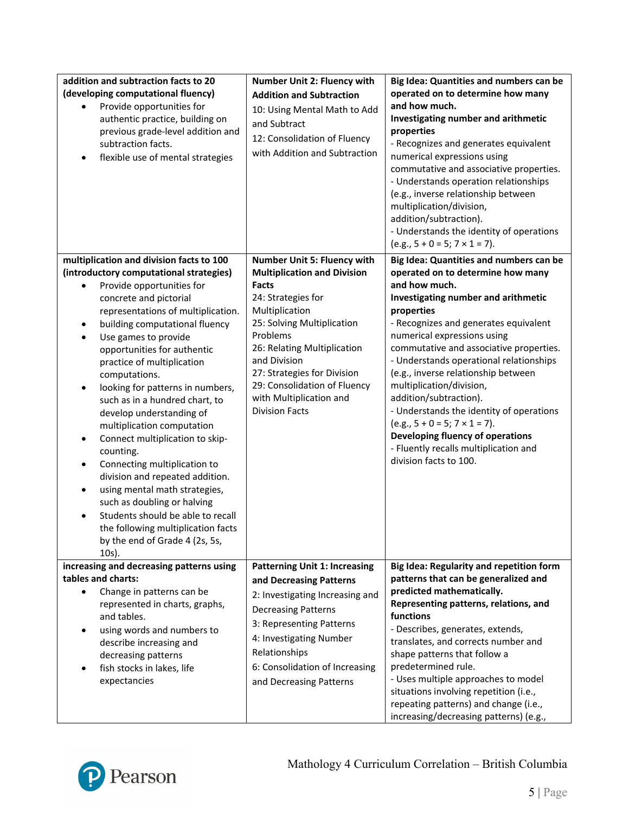| addition and subtraction facts to 20<br>(developing computational fluency)<br>Provide opportunities for<br>authentic practice, building on<br>previous grade-level addition and<br>subtraction facts.<br>flexible use of mental strategies<br>$\bullet$                                                                                                                                                                                                                                                                                                                                                                                                                                                                                                                                                                    | <b>Number Unit 2: Fluency with</b><br><b>Addition and Subtraction</b><br>10: Using Mental Math to Add<br>and Subtract<br>12: Consolidation of Fluency<br>with Addition and Subtraction                                                                                                                                                | Big Idea: Quantities and numbers can be<br>operated on to determine how many<br>and how much.<br>Investigating number and arithmetic<br>properties<br>- Recognizes and generates equivalent<br>numerical expressions using<br>commutative and associative properties.<br>- Understands operation relationships<br>(e.g., inverse relationship between<br>multiplication/division,<br>addition/subtraction).<br>- Understands the identity of operations<br>$(e.g., 5 + 0 = 5; 7 \times 1 = 7).$                                                                                                          |
|----------------------------------------------------------------------------------------------------------------------------------------------------------------------------------------------------------------------------------------------------------------------------------------------------------------------------------------------------------------------------------------------------------------------------------------------------------------------------------------------------------------------------------------------------------------------------------------------------------------------------------------------------------------------------------------------------------------------------------------------------------------------------------------------------------------------------|---------------------------------------------------------------------------------------------------------------------------------------------------------------------------------------------------------------------------------------------------------------------------------------------------------------------------------------|----------------------------------------------------------------------------------------------------------------------------------------------------------------------------------------------------------------------------------------------------------------------------------------------------------------------------------------------------------------------------------------------------------------------------------------------------------------------------------------------------------------------------------------------------------------------------------------------------------|
| multiplication and division facts to 100<br>(introductory computational strategies)<br>Provide opportunities for<br>concrete and pictorial<br>representations of multiplication.<br>building computational fluency<br>$\bullet$<br>Use games to provide<br>$\bullet$<br>opportunities for authentic<br>practice of multiplication<br>computations.<br>looking for patterns in numbers,<br>٠<br>such as in a hundred chart, to<br>develop understanding of<br>multiplication computation<br>Connect multiplication to skip-<br>٠<br>counting.<br>Connecting multiplication to<br>$\bullet$<br>division and repeated addition.<br>using mental math strategies,<br>٠<br>such as doubling or halving<br>Students should be able to recall<br>the following multiplication facts<br>by the end of Grade 4 (2s, 5s,<br>$10s$ ). | Number Unit 5: Fluency with<br><b>Multiplication and Division</b><br><b>Facts</b><br>24: Strategies for<br>Multiplication<br>25: Solving Multiplication<br>Problems<br>26: Relating Multiplication<br>and Division<br>27: Strategies for Division<br>29: Consolidation of Fluency<br>with Multiplication and<br><b>Division Facts</b> | Big Idea: Quantities and numbers can be<br>operated on to determine how many<br>and how much.<br>Investigating number and arithmetic<br>properties<br>- Recognizes and generates equivalent<br>numerical expressions using<br>commutative and associative properties.<br>- Understands operational relationships<br>(e.g., inverse relationship between<br>multiplication/division,<br>addition/subtraction).<br>- Understands the identity of operations<br>$(e.g., 5 + 0 = 5; 7 \times 1 = 7).$<br>Developing fluency of operations<br>- Fluently recalls multiplication and<br>division facts to 100. |
| increasing and decreasing patterns using<br>tables and charts:<br>Change in patterns can be<br>represented in charts, graphs,<br>and tables.<br>using words and numbers to<br>describe increasing and<br>decreasing patterns<br>fish stocks in lakes, life<br>expectancies                                                                                                                                                                                                                                                                                                                                                                                                                                                                                                                                                 | <b>Patterning Unit 1: Increasing</b><br>and Decreasing Patterns<br>2: Investigating Increasing and<br><b>Decreasing Patterns</b><br>3: Representing Patterns<br>4: Investigating Number<br>Relationships<br>6: Consolidation of Increasing<br>and Decreasing Patterns                                                                 | Big Idea: Regularity and repetition form<br>patterns that can be generalized and<br>predicted mathematically.<br>Representing patterns, relations, and<br>functions<br>- Describes, generates, extends,<br>translates, and corrects number and<br>shape patterns that follow a<br>predetermined rule.<br>- Uses multiple approaches to model<br>situations involving repetition (i.e.,<br>repeating patterns) and change (i.e.,<br>increasing/decreasing patterns) (e.g.,                                                                                                                                |

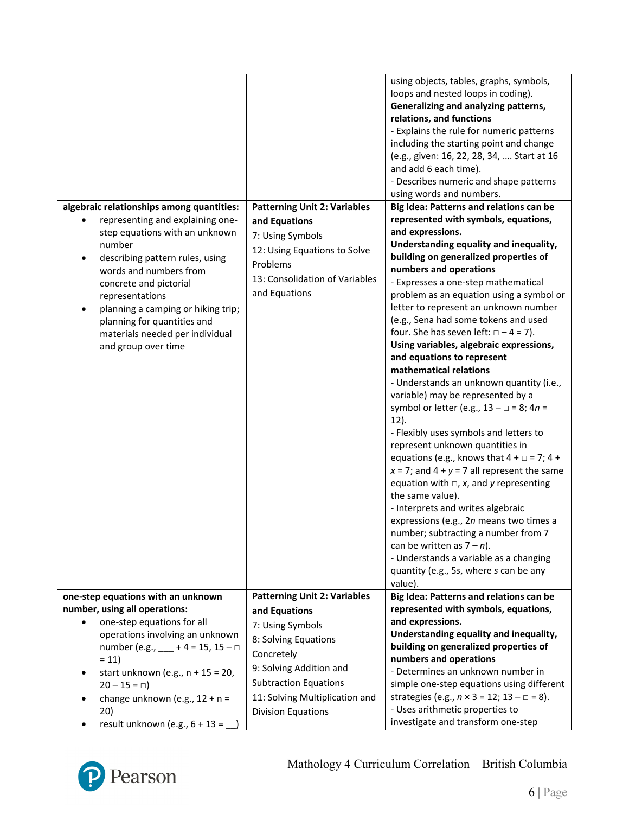|                                                                                                                                                                                                    |                                                              | using objects, tables, graphs, symbols,<br>loops and nested loops in coding).<br>Generalizing and analyzing patterns,<br>relations, and functions<br>- Explains the rule for numeric patterns<br>including the starting point and change<br>(e.g., given: 16, 22, 28, 34,  Start at 16<br>and add 6 each time).<br>- Describes numeric and shape patterns                                                                                                                                                                                                                                                                                                                                                                                                                                                                                                                                                                                                                                 |
|----------------------------------------------------------------------------------------------------------------------------------------------------------------------------------------------------|--------------------------------------------------------------|-------------------------------------------------------------------------------------------------------------------------------------------------------------------------------------------------------------------------------------------------------------------------------------------------------------------------------------------------------------------------------------------------------------------------------------------------------------------------------------------------------------------------------------------------------------------------------------------------------------------------------------------------------------------------------------------------------------------------------------------------------------------------------------------------------------------------------------------------------------------------------------------------------------------------------------------------------------------------------------------|
| algebraic relationships among quantities:                                                                                                                                                          | <b>Patterning Unit 2: Variables</b>                          | using words and numbers.<br>Big Idea: Patterns and relations can be                                                                                                                                                                                                                                                                                                                                                                                                                                                                                                                                                                                                                                                                                                                                                                                                                                                                                                                       |
| representing and explaining one-                                                                                                                                                                   | and Equations                                                | represented with symbols, equations,                                                                                                                                                                                                                                                                                                                                                                                                                                                                                                                                                                                                                                                                                                                                                                                                                                                                                                                                                      |
| step equations with an unknown                                                                                                                                                                     |                                                              | and expressions.                                                                                                                                                                                                                                                                                                                                                                                                                                                                                                                                                                                                                                                                                                                                                                                                                                                                                                                                                                          |
| number<br>describing pattern rules, using                                                                                                                                                          | 7: Using Symbols<br>12: Using Equations to Solve<br>Problems | Understanding equality and inequality,<br>building on generalized properties of<br>numbers and operations                                                                                                                                                                                                                                                                                                                                                                                                                                                                                                                                                                                                                                                                                                                                                                                                                                                                                 |
| words and numbers from<br>concrete and pictorial<br>representations<br>planning a camping or hiking trip;<br>planning for quantities and<br>materials needed per individual<br>and group over time | 13: Consolidation of Variables<br>and Equations              | - Expresses a one-step mathematical<br>problem as an equation using a symbol or<br>letter to represent an unknown number<br>(e.g., Sena had some tokens and used<br>four. She has seven left: $\Box - 4 = 7$ ).<br>Using variables, algebraic expressions,<br>and equations to represent<br>mathematical relations<br>- Understands an unknown quantity (i.e.,<br>variable) may be represented by a<br>symbol or letter (e.g., $13 - \square = 8$ ; $4n =$<br>$12$ ).<br>- Flexibly uses symbols and letters to<br>represent unknown quantities in<br>equations (e.g., knows that $4 + \square = 7$ ; $4 +$<br>$x = 7$ ; and $4 + y = 7$ all represent the same<br>equation with $\Box$ , x, and y representing<br>the same value).<br>- Interprets and writes algebraic<br>expressions (e.g., 2n means two times a<br>number; subtracting a number from 7<br>can be written as $7 - n$ ).<br>- Understands a variable as a changing<br>quantity (e.g., 5s, where s can be any<br>value). |
| one-step equations with an unknown                                                                                                                                                                 | <b>Patterning Unit 2: Variables</b>                          | Big Idea: Patterns and relations can be                                                                                                                                                                                                                                                                                                                                                                                                                                                                                                                                                                                                                                                                                                                                                                                                                                                                                                                                                   |
| number, using all operations:                                                                                                                                                                      | and Equations                                                | represented with symbols, equations,                                                                                                                                                                                                                                                                                                                                                                                                                                                                                                                                                                                                                                                                                                                                                                                                                                                                                                                                                      |
| one-step equations for all                                                                                                                                                                         | 7: Using Symbols                                             | and expressions.                                                                                                                                                                                                                                                                                                                                                                                                                                                                                                                                                                                                                                                                                                                                                                                                                                                                                                                                                                          |
| operations involving an unknown                                                                                                                                                                    | 8: Solving Equations                                         | Understanding equality and inequality,<br>building on generalized properties of                                                                                                                                                                                                                                                                                                                                                                                                                                                                                                                                                                                                                                                                                                                                                                                                                                                                                                           |
| number (e.g., $- + 4 = 15$ , $15 - \Box$<br>$= 11$                                                                                                                                                 | Concretely                                                   | numbers and operations                                                                                                                                                                                                                                                                                                                                                                                                                                                                                                                                                                                                                                                                                                                                                                                                                                                                                                                                                                    |
| start unknown (e.g., $n + 15 = 20$ ,                                                                                                                                                               | 9: Solving Addition and                                      | - Determines an unknown number in                                                                                                                                                                                                                                                                                                                                                                                                                                                                                                                                                                                                                                                                                                                                                                                                                                                                                                                                                         |
| $20 - 15 = \Box$                                                                                                                                                                                   | <b>Subtraction Equations</b>                                 | simple one-step equations using different                                                                                                                                                                                                                                                                                                                                                                                                                                                                                                                                                                                                                                                                                                                                                                                                                                                                                                                                                 |
| change unknown (e.g., $12 + n =$                                                                                                                                                                   | 11: Solving Multiplication and                               | strategies (e.g., $n \times 3 = 12$ ; $13 - \square = 8$ ).                                                                                                                                                                                                                                                                                                                                                                                                                                                                                                                                                                                                                                                                                                                                                                                                                                                                                                                               |
| 20)                                                                                                                                                                                                | <b>Division Equations</b>                                    | - Uses arithmetic properties to                                                                                                                                                                                                                                                                                                                                                                                                                                                                                                                                                                                                                                                                                                                                                                                                                                                                                                                                                           |
| result unknown (e.g., $6 + 13 =$                                                                                                                                                                   |                                                              | investigate and transform one-step                                                                                                                                                                                                                                                                                                                                                                                                                                                                                                                                                                                                                                                                                                                                                                                                                                                                                                                                                        |

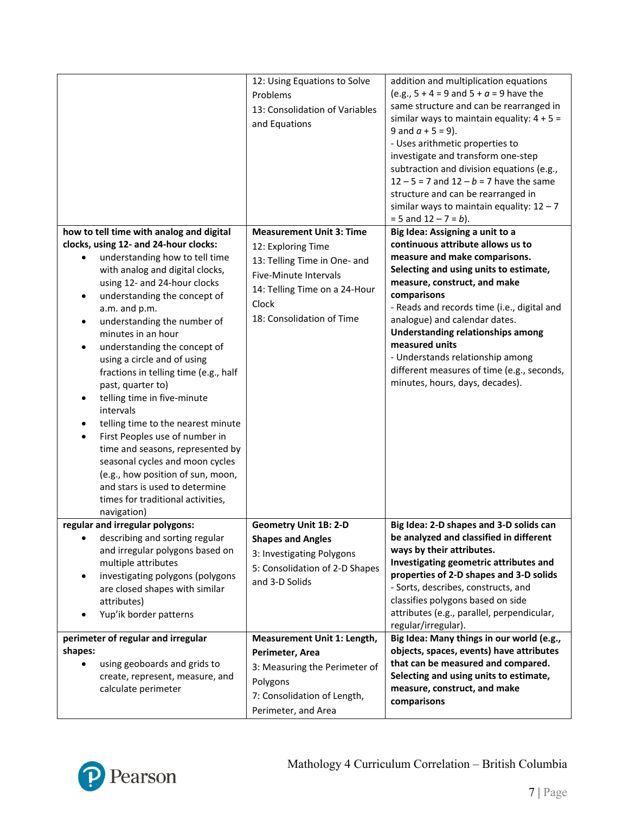|                                                                                                                                                                                                                                                                                                                                                                                                                                                                                                                                                                                                                                                                                                                                                                                | 12: Using Equations to Solve<br>Problems<br>13: Consolidation of Variables<br>and Equations                                                                                           | addition and multiplication equations<br>(e.g., $5 + 4 = 9$ and $5 + a = 9$ have the<br>same structure and can be rearranged in<br>similar ways to maintain equality: $4 + 5 =$<br>9 and $a + 5 = 9$ ).<br>- Uses arithmetic properties to<br>investigate and transform one-step<br>subtraction and division equations (e.g.,<br>$12 - 5 = 7$ and $12 - b = 7$ have the same<br>structure and can be rearranged in<br>similar ways to maintain equality: $12 - 7$<br>$= 5$ and $12 - 7 = b$ ). |
|--------------------------------------------------------------------------------------------------------------------------------------------------------------------------------------------------------------------------------------------------------------------------------------------------------------------------------------------------------------------------------------------------------------------------------------------------------------------------------------------------------------------------------------------------------------------------------------------------------------------------------------------------------------------------------------------------------------------------------------------------------------------------------|---------------------------------------------------------------------------------------------------------------------------------------------------------------------------------------|------------------------------------------------------------------------------------------------------------------------------------------------------------------------------------------------------------------------------------------------------------------------------------------------------------------------------------------------------------------------------------------------------------------------------------------------------------------------------------------------|
| how to tell time with analog and digital<br>clocks, using 12- and 24-hour clocks:<br>understanding how to tell time<br>with analog and digital clocks,<br>using 12- and 24-hour clocks<br>understanding the concept of<br>٠<br>a.m. and p.m.<br>understanding the number of<br>$\bullet$<br>minutes in an hour<br>understanding the concept of<br>using a circle and of using<br>fractions in telling time (e.g., half<br>past, quarter to)<br>telling time in five-minute<br>intervals<br>telling time to the nearest minute<br>First Peoples use of number in<br>$\bullet$<br>time and seasons, represented by<br>seasonal cycles and moon cycles<br>(e.g., how position of sun, moon,<br>and stars is used to determine<br>times for traditional activities,<br>navigation) | <b>Measurement Unit 3: Time</b><br>12: Exploring Time<br>13: Telling Time in One- and<br>Five-Minute Intervals<br>14: Telling Time on a 24-Hour<br>Clock<br>18: Consolidation of Time | Big Idea: Assigning a unit to a<br>continuous attribute allows us to<br>measure and make comparisons.<br>Selecting and using units to estimate,<br>measure, construct, and make<br>comparisons<br>- Reads and records time (i.e., digital and<br>analogue) and calendar dates.<br>Understanding relationships among<br>measured units<br>- Understands relationship among<br>different measures of time (e.g., seconds,<br>minutes, hours, days, decades).                                     |
| regular and irregular polygons:<br>describing and sorting regular<br>$\bullet$<br>and irregular polygons based on<br>multiple attributes<br>investigating polygons (polygons<br>$\bullet$<br>are closed shapes with similar<br>attributes)<br>Yup'ik border patterns<br>perimeter of regular and irregular                                                                                                                                                                                                                                                                                                                                                                                                                                                                     | <b>Geometry Unit 1B: 2-D</b><br><b>Shapes and Angles</b><br>3: Investigating Polygons<br>5: Consolidation of 2-D Shapes<br>and 3-D Solids<br>Measurement Unit 1: Length,              | Big Idea: 2-D shapes and 3-D solids can<br>be analyzed and classified in different<br>ways by their attributes.<br>Investigating geometric attributes and<br>properties of 2-D shapes and 3-D solids<br>- Sorts, describes, constructs, and<br>classifies polygons based on side<br>attributes (e.g., parallel, perpendicular,<br>regular/irregular).<br>Big Idea: Many things in our world (e.g.,                                                                                             |
| shapes:<br>using geoboards and grids to<br>create, represent, measure, and<br>calculate perimeter                                                                                                                                                                                                                                                                                                                                                                                                                                                                                                                                                                                                                                                                              | Perimeter, Area<br>3: Measuring the Perimeter of<br>Polygons<br>7: Consolidation of Length,<br>Perimeter, and Area                                                                    | objects, spaces, events) have attributes<br>that can be measured and compared.<br>Selecting and using units to estimate,<br>measure, construct, and make<br>comparisons                                                                                                                                                                                                                                                                                                                        |

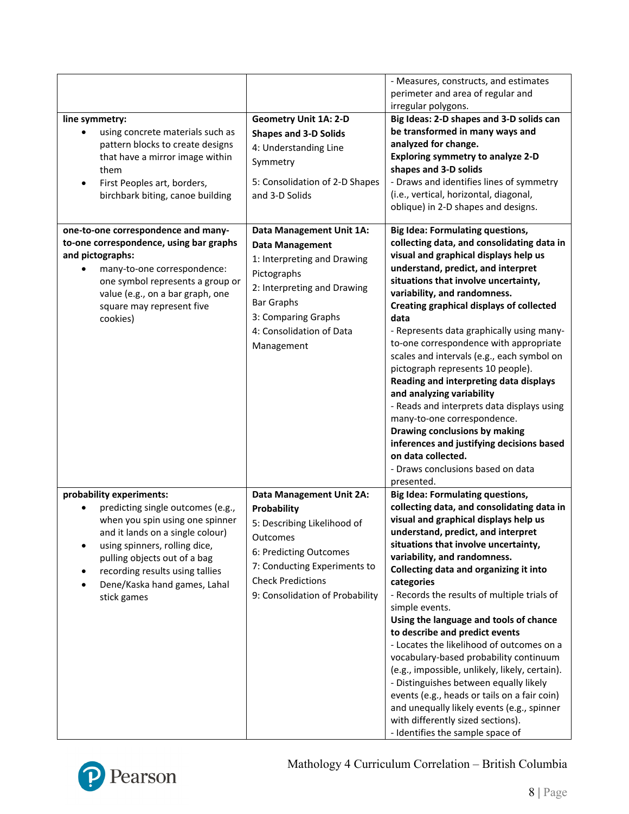|                                                                                                                                                                                                                                                                                         |                                                                                                                                                                                                                       | - Measures, constructs, and estimates<br>perimeter and area of regular and<br>irregular polygons.                                                                                                                                                                                                                                                                                                                                                                                                                                                                                                                                                                                                                                                                                                           |
|-----------------------------------------------------------------------------------------------------------------------------------------------------------------------------------------------------------------------------------------------------------------------------------------|-----------------------------------------------------------------------------------------------------------------------------------------------------------------------------------------------------------------------|-------------------------------------------------------------------------------------------------------------------------------------------------------------------------------------------------------------------------------------------------------------------------------------------------------------------------------------------------------------------------------------------------------------------------------------------------------------------------------------------------------------------------------------------------------------------------------------------------------------------------------------------------------------------------------------------------------------------------------------------------------------------------------------------------------------|
| line symmetry:<br>using concrete materials such as<br>pattern blocks to create designs<br>that have a mirror image within<br>them<br>First Peoples art, borders,<br>$\bullet$<br>birchbark biting, canoe building                                                                       | <b>Geometry Unit 1A: 2-D</b><br><b>Shapes and 3-D Solids</b><br>4: Understanding Line<br>Symmetry<br>5: Consolidation of 2-D Shapes<br>and 3-D Solids                                                                 | Big Ideas: 2-D shapes and 3-D solids can<br>be transformed in many ways and<br>analyzed for change.<br><b>Exploring symmetry to analyze 2-D</b><br>shapes and 3-D solids<br>- Draws and identifies lines of symmetry<br>(i.e., vertical, horizontal, diagonal,<br>oblique) in 2-D shapes and designs.                                                                                                                                                                                                                                                                                                                                                                                                                                                                                                       |
| one-to-one correspondence and many-<br>to-one correspondence, using bar graphs<br>and pictographs:<br>many-to-one correspondence:<br>one symbol represents a group or<br>value (e.g., on a bar graph, one<br>square may represent five<br>cookies)                                      | Data Management Unit 1A:<br><b>Data Management</b><br>1: Interpreting and Drawing<br>Pictographs<br>2: Interpreting and Drawing<br><b>Bar Graphs</b><br>3: Comparing Graphs<br>4: Consolidation of Data<br>Management | <b>Big Idea: Formulating questions,</b><br>collecting data, and consolidating data in<br>visual and graphical displays help us<br>understand, predict, and interpret<br>situations that involve uncertainty,<br>variability, and randomness.<br>Creating graphical displays of collected<br>data<br>- Represents data graphically using many-<br>to-one correspondence with appropriate<br>scales and intervals (e.g., each symbol on<br>pictograph represents 10 people).<br>Reading and interpreting data displays<br>and analyzing variability<br>- Reads and interprets data displays using<br>many-to-one correspondence.<br>Drawing conclusions by making<br>inferences and justifying decisions based<br>on data collected.<br>- Draws conclusions based on data<br>presented.                       |
| probability experiments:<br>predicting single outcomes (e.g.,<br>when you spin using one spinner<br>and it lands on a single colour)<br>using spinners, rolling dice,<br>pulling objects out of a bag<br>recording results using tallies<br>Dene/Kaska hand games, Lahal<br>stick games | <b>Data Management Unit 2A:</b><br>Probability<br>5: Describing Likelihood of<br>Outcomes<br>6: Predicting Outcomes<br>7: Conducting Experiments to<br><b>Check Predictions</b><br>9: Consolidation of Probability    | <b>Big Idea: Formulating questions,</b><br>collecting data, and consolidating data in<br>visual and graphical displays help us<br>understand, predict, and interpret<br>situations that involve uncertainty,<br>variability, and randomness.<br>Collecting data and organizing it into<br>categories<br>- Records the results of multiple trials of<br>simple events.<br>Using the language and tools of chance<br>to describe and predict events<br>- Locates the likelihood of outcomes on a<br>vocabulary-based probability continuum<br>(e.g., impossible, unlikely, likely, certain).<br>- Distinguishes between equally likely<br>events (e.g., heads or tails on a fair coin)<br>and unequally likely events (e.g., spinner<br>with differently sized sections).<br>- Identifies the sample space of |



## Mathology 4 Curriculum Correlation – British Columbia